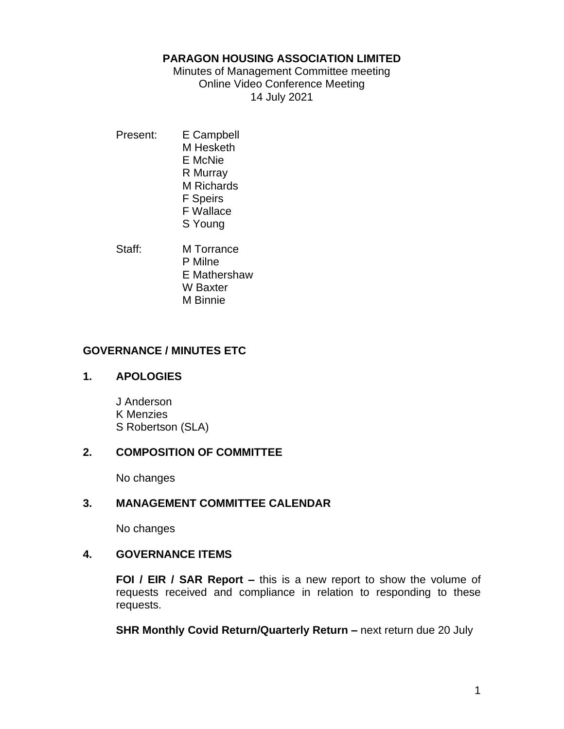#### **PARAGON HOUSING ASSOCIATION LIMITED**

Minutes of Management Committee meeting Online Video Conference Meeting 14 July 2021

- Present: E Campbell M Hesketh E McNie R Murray M Richards F Speirs F Wallace S Young
- Staff: M Torrance P Milne E Mathershaw W Baxter M Binnie

# **GOVERNANCE / MINUTES ETC**

## **1. APOLOGIES**

J Anderson K Menzies S Robertson (SLA)

# **2. COMPOSITION OF COMMITTEE**

No changes

# **3. MANAGEMENT COMMITTEE CALENDAR**

No changes

## **4. GOVERNANCE ITEMS**

**FOI / EIR / SAR Report –** this is a new report to show the volume of requests received and compliance in relation to responding to these requests.

**SHR Monthly Covid Return/Quarterly Return –** next return due 20 July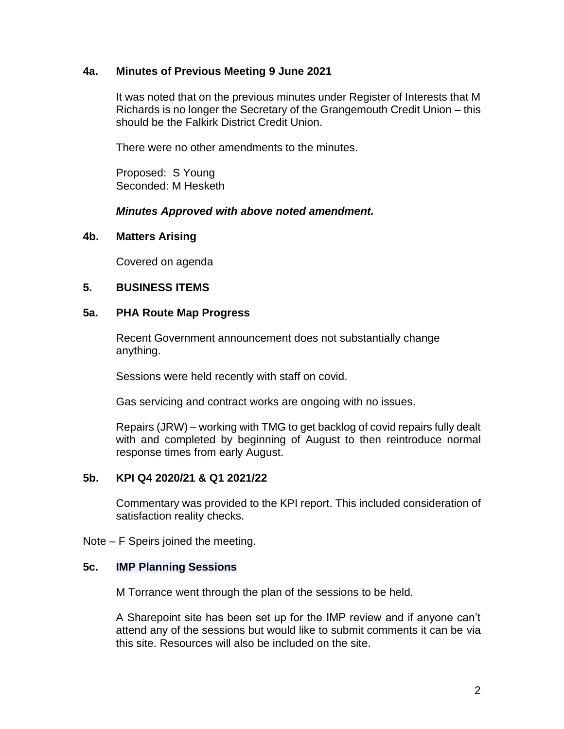#### **4a. Minutes of Previous Meeting 9 June 2021**

It was noted that on the previous minutes under Register of Interests that M Richards is no longer the Secretary of the Grangemouth Credit Union – this should be the Falkirk District Credit Union.

There were no other amendments to the minutes.

Proposed: S Young Seconded: M Hesketh

#### *Minutes Approved with above noted amendment.*

#### **4b. Matters Arising**

Covered on agenda

## **5. BUSINESS ITEMS**

#### **5a. PHA Route Map Progress**

Recent Government announcement does not substantially change anything.

Sessions were held recently with staff on covid.

Gas servicing and contract works are ongoing with no issues.

Repairs (JRW) – working with TMG to get backlog of covid repairs fully dealt with and completed by beginning of August to then reintroduce normal response times from early August.

#### **5b. KPI Q4 2020/21 & Q1 2021/22**

Commentary was provided to the KPI report. This included consideration of satisfaction reality checks.

Note – F Speirs joined the meeting.

#### **5c. IMP Planning Sessions**

M Torrance went through the plan of the sessions to be held.

A Sharepoint site has been set up for the IMP review and if anyone can't attend any of the sessions but would like to submit comments it can be via this site. Resources will also be included on the site.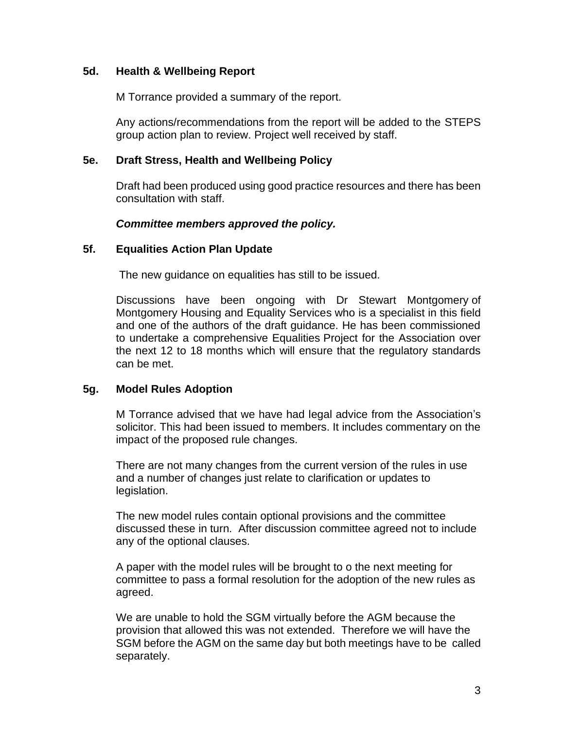## **5d. Health & Wellbeing Report**

M Torrance provided a summary of the report.

Any actions/recommendations from the report will be added to the STEPS group action plan to review. Project well received by staff.

# **5e. Draft Stress, Health and Wellbeing Policy**

Draft had been produced using good practice resources and there has been consultation with staff.

# *Committee members approved the policy.*

# **5f. Equalities Action Plan Update**

The new guidance on equalities has still to be issued.

Discussions have been ongoing with Dr Stewart Montgomery of Montgomery Housing and Equality Services who is a specialist in this field and one of the authors of the draft guidance. He has been commissioned to undertake a comprehensive Equalities Project for the Association over the next 12 to 18 months which will ensure that the regulatory standards can be met.

# **5g. Model Rules Adoption**

M Torrance advised that we have had legal advice from the Association's solicitor. This had been issued to members. It includes commentary on the impact of the proposed rule changes.

There are not many changes from the current version of the rules in use and a number of changes just relate to clarification or updates to legislation.

The new model rules contain optional provisions and the committee discussed these in turn. After discussion committee agreed not to include any of the optional clauses.

A paper with the model rules will be brought to o the next meeting for committee to pass a formal resolution for the adoption of the new rules as agreed.

We are unable to hold the SGM virtually before the AGM because the provision that allowed this was not extended. Therefore we will have the SGM before the AGM on the same day but both meetings have to be called separately.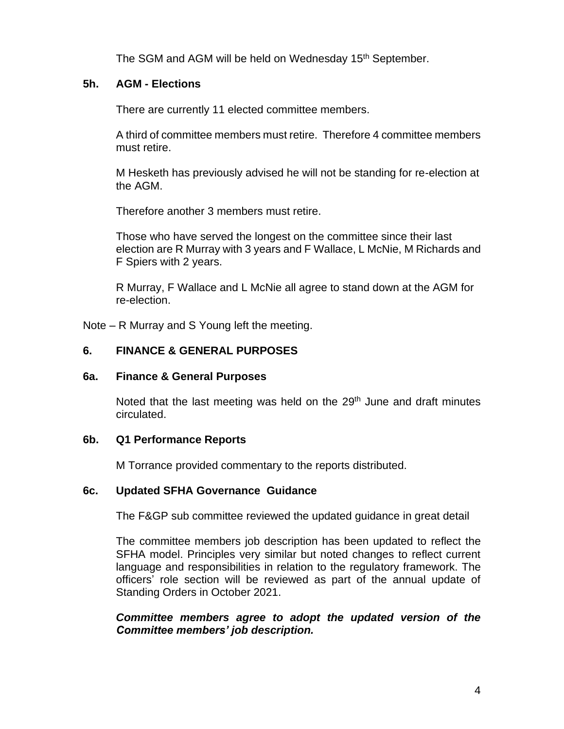The SGM and AGM will be held on Wednesday 15<sup>th</sup> September.

### **5h. AGM - Elections**

There are currently 11 elected committee members.

A third of committee members must retire. Therefore 4 committee members must retire.

M Hesketh has previously advised he will not be standing for re-election at the AGM.

Therefore another 3 members must retire.

Those who have served the longest on the committee since their last election are R Murray with 3 years and F Wallace, L McNie, M Richards and F Spiers with 2 years.

R Murray, F Wallace and L McNie all agree to stand down at the AGM for re-election.

Note – R Murray and S Young left the meeting.

## **6. FINANCE & GENERAL PURPOSES**

## **6a. Finance & General Purposes**

Noted that the last meeting was held on the  $29<sup>th</sup>$  June and draft minutes circulated.

## **6b. Q1 Performance Reports**

M Torrance provided commentary to the reports distributed.

## **6c. Updated SFHA Governance Guidance**

The F&GP sub committee reviewed the updated guidance in great detail

The committee members job description has been updated to reflect the SFHA model. Principles very similar but noted changes to reflect current language and responsibilities in relation to the regulatory framework. The officers' role section will be reviewed as part of the annual update of Standing Orders in October 2021.

*Committee members agree to adopt the updated version of the Committee members' job description.*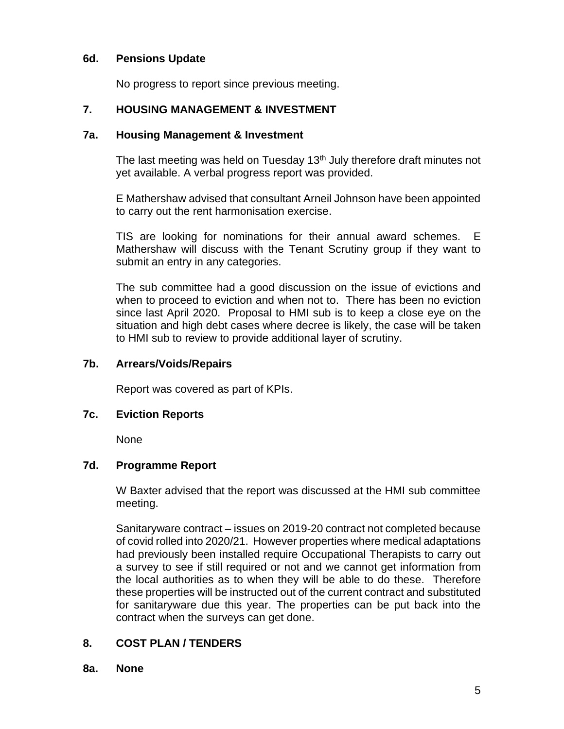# **6d. Pensions Update**

No progress to report since previous meeting.

# **7. HOUSING MANAGEMENT & INVESTMENT**

#### **7a. Housing Management & Investment**

The last meeting was held on Tuesday  $13<sup>th</sup>$  July therefore draft minutes not yet available. A verbal progress report was provided.

E Mathershaw advised that consultant Arneil Johnson have been appointed to carry out the rent harmonisation exercise.

TIS are looking for nominations for their annual award schemes. E Mathershaw will discuss with the Tenant Scrutiny group if they want to submit an entry in any categories.

The sub committee had a good discussion on the issue of evictions and when to proceed to eviction and when not to. There has been no eviction since last April 2020. Proposal to HMI sub is to keep a close eye on the situation and high debt cases where decree is likely, the case will be taken to HMI sub to review to provide additional layer of scrutiny.

#### **7b. Arrears/Voids/Repairs**

Report was covered as part of KPIs.

## **7c. Eviction Reports**

None

## **7d. Programme Report**

W Baxter advised that the report was discussed at the HMI sub committee meeting.

Sanitaryware contract – issues on 2019-20 contract not completed because of covid rolled into 2020/21. However properties where medical adaptations had previously been installed require Occupational Therapists to carry out a survey to see if still required or not and we cannot get information from the local authorities as to when they will be able to do these. Therefore these properties will be instructed out of the current contract and substituted for sanitaryware due this year. The properties can be put back into the contract when the surveys can get done.

# **8. COST PLAN / TENDERS**

**8a. None**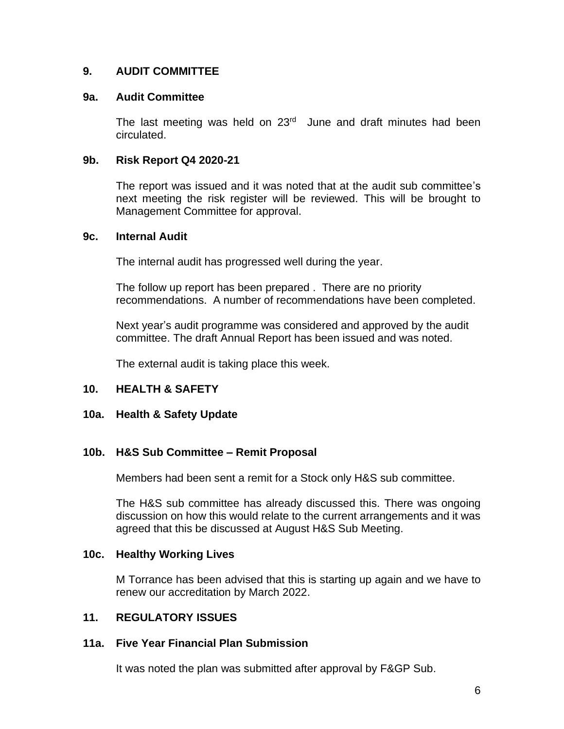### **9. AUDIT COMMITTEE**

#### **9a. Audit Committee**

The last meeting was held on  $23<sup>rd</sup>$  June and draft minutes had been circulated.

#### **9b. Risk Report Q4 2020-21**

The report was issued and it was noted that at the audit sub committee's next meeting the risk register will be reviewed. This will be brought to Management Committee for approval.

#### **9c. Internal Audit**

The internal audit has progressed well during the year.

The follow up report has been prepared . There are no priority recommendations. A number of recommendations have been completed.

Next year's audit programme was considered and approved by the audit committee. The draft Annual Report has been issued and was noted.

The external audit is taking place this week.

## **10. HEALTH & SAFETY**

#### **10a. Health & Safety Update**

#### **10b. H&S Sub Committee – Remit Proposal**

Members had been sent a remit for a Stock only H&S sub committee.

The H&S sub committee has already discussed this. There was ongoing discussion on how this would relate to the current arrangements and it was agreed that this be discussed at August H&S Sub Meeting.

#### **10c. Healthy Working Lives**

M Torrance has been advised that this is starting up again and we have to renew our accreditation by March 2022.

#### **11. REGULATORY ISSUES**

#### **11a. Five Year Financial Plan Submission**

It was noted the plan was submitted after approval by F&GP Sub.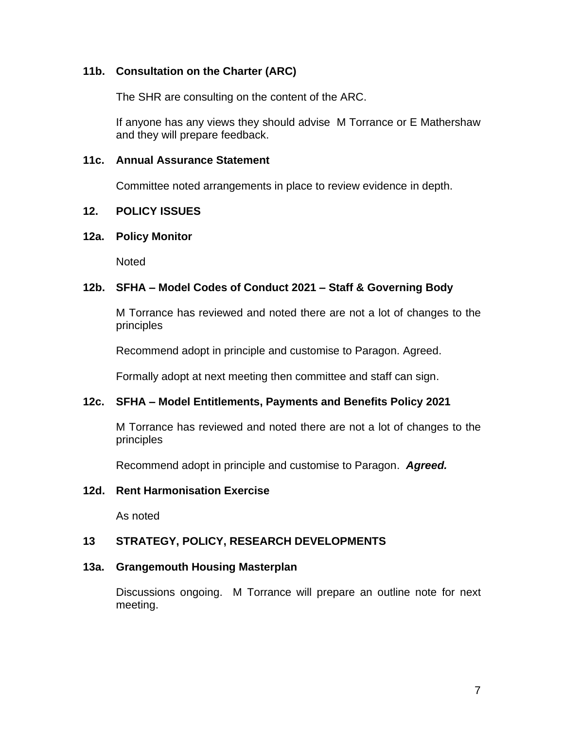# **11b. Consultation on the Charter (ARC)**

The SHR are consulting on the content of the ARC.

If anyone has any views they should advise M Torrance or E Mathershaw and they will prepare feedback.

#### **11c. Annual Assurance Statement**

Committee noted arrangements in place to review evidence in depth.

#### **12. POLICY ISSUES**

#### **12a. Policy Monitor**

**Noted** 

## **12b. SFHA – Model Codes of Conduct 2021 – Staff & Governing Body**

M Torrance has reviewed and noted there are not a lot of changes to the principles

Recommend adopt in principle and customise to Paragon. Agreed.

Formally adopt at next meeting then committee and staff can sign.

# **12c. SFHA – Model Entitlements, Payments and Benefits Policy 2021**

M Torrance has reviewed and noted there are not a lot of changes to the principles

Recommend adopt in principle and customise to Paragon. *Agreed.*

## **12d. Rent Harmonisation Exercise**

As noted

## **13 STRATEGY, POLICY, RESEARCH DEVELOPMENTS**

#### **13a. Grangemouth Housing Masterplan**

Discussions ongoing. M Torrance will prepare an outline note for next meeting.